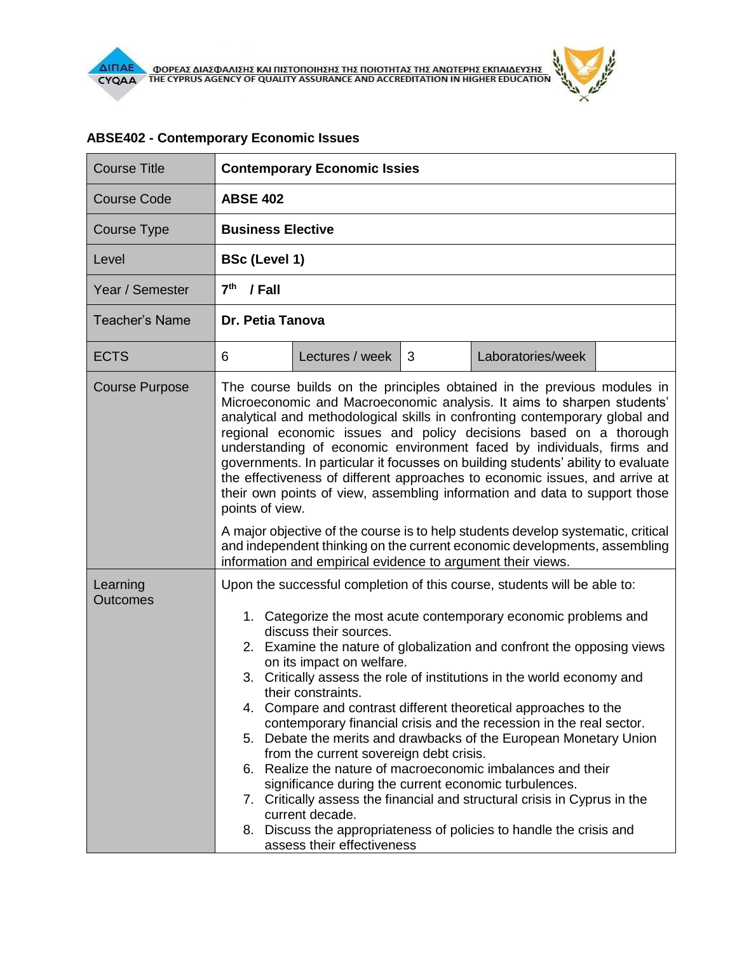$\theta$ 

| <b>Course Title</b>         | <b>Contemporary Economic Issies</b>                                                                                                                                                                                                                                                                                                                                                                                                                                                                                                                                                                                                                                                                                                                                                                                                                                                                                                                                                                                                |  |  |  |
|-----------------------------|------------------------------------------------------------------------------------------------------------------------------------------------------------------------------------------------------------------------------------------------------------------------------------------------------------------------------------------------------------------------------------------------------------------------------------------------------------------------------------------------------------------------------------------------------------------------------------------------------------------------------------------------------------------------------------------------------------------------------------------------------------------------------------------------------------------------------------------------------------------------------------------------------------------------------------------------------------------------------------------------------------------------------------|--|--|--|
| <b>Course Code</b>          | <b>ABSE 402</b>                                                                                                                                                                                                                                                                                                                                                                                                                                                                                                                                                                                                                                                                                                                                                                                                                                                                                                                                                                                                                    |  |  |  |
| Course Type                 | <b>Business Elective</b>                                                                                                                                                                                                                                                                                                                                                                                                                                                                                                                                                                                                                                                                                                                                                                                                                                                                                                                                                                                                           |  |  |  |
| Level                       | <b>BSc (Level 1)</b>                                                                                                                                                                                                                                                                                                                                                                                                                                                                                                                                                                                                                                                                                                                                                                                                                                                                                                                                                                                                               |  |  |  |
| Year / Semester             | 7 <sup>th</sup><br>/ Fall                                                                                                                                                                                                                                                                                                                                                                                                                                                                                                                                                                                                                                                                                                                                                                                                                                                                                                                                                                                                          |  |  |  |
| <b>Teacher's Name</b>       | Dr. Petia Tanova                                                                                                                                                                                                                                                                                                                                                                                                                                                                                                                                                                                                                                                                                                                                                                                                                                                                                                                                                                                                                   |  |  |  |
| <b>ECTS</b>                 | Lectures / week<br>3<br>Laboratories/week<br>6                                                                                                                                                                                                                                                                                                                                                                                                                                                                                                                                                                                                                                                                                                                                                                                                                                                                                                                                                                                     |  |  |  |
| <b>Course Purpose</b>       | The course builds on the principles obtained in the previous modules in<br>Microeconomic and Macroeconomic analysis. It aims to sharpen students'<br>analytical and methodological skills in confronting contemporary global and<br>regional economic issues and policy decisions based on a thorough<br>understanding of economic environment faced by individuals, firms and<br>governments. In particular it focusses on building students' ability to evaluate<br>the effectiveness of different approaches to economic issues, and arrive at<br>their own points of view, assembling information and data to support those<br>points of view.<br>A major objective of the course is to help students develop systematic, critical<br>and independent thinking on the current economic developments, assembling                                                                                                                                                                                                                |  |  |  |
| Learning<br><b>Outcomes</b> | information and empirical evidence to argument their views.<br>Upon the successful completion of this course, students will be able to:<br>1. Categorize the most acute contemporary economic problems and<br>discuss their sources.<br>2. Examine the nature of globalization and confront the opposing views<br>on its impact on welfare.<br>3. Critically assess the role of institutions in the world economy and<br>their constraints.<br>4. Compare and contrast different theoretical approaches to the<br>contemporary financial crisis and the recession in the real sector.<br>5. Debate the merits and drawbacks of the European Monetary Union<br>from the current sovereign debt crisis.<br>6. Realize the nature of macroeconomic imbalances and their<br>significance during the current economic turbulences.<br>7. Critically assess the financial and structural crisis in Cyprus in the<br>current decade.<br>8. Discuss the appropriateness of policies to handle the crisis and<br>assess their effectiveness |  |  |  |

## **ABSE402 - Contemporary Economic Issues**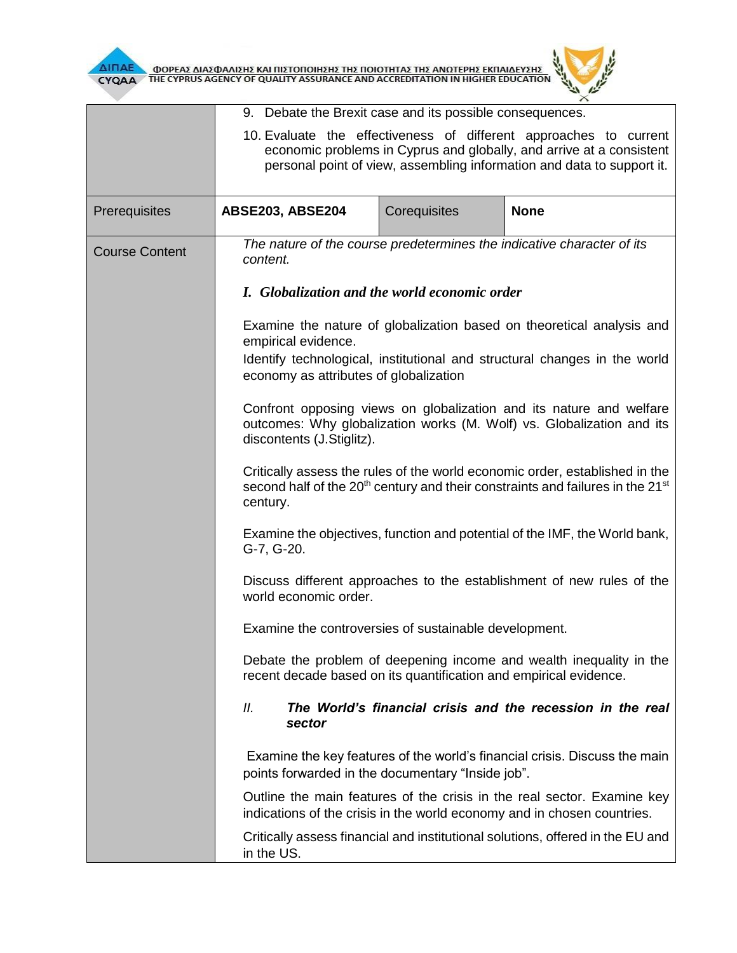

**AIFIAE A OOPEAE AIAE DANIERE KAI FILETOFIOIRERE TRE FIOIOTRITAE TRE ANOTEPRE EKFIAIAEYERE** 

| <b>CYQAA</b>          | ODPEAZ AIAZOANIZHZ KALITIZTONOHIZHZ THZ NOIOTHTAZ THZ ANDTEPHZ EKHAIAEYZHZ<br>THE CYPRUS AGENCY OF QUALITY ASSURANCE AND ACCREDITATION IN HIGHER EDUCATION                                                          |                                                   |                                                                                                                                                    |  |
|-----------------------|---------------------------------------------------------------------------------------------------------------------------------------------------------------------------------------------------------------------|---------------------------------------------------|----------------------------------------------------------------------------------------------------------------------------------------------------|--|
|                       | 9. Debate the Brexit case and its possible consequences.                                                                                                                                                            |                                                   |                                                                                                                                                    |  |
|                       | 10. Evaluate the effectiveness of different approaches to current<br>economic problems in Cyprus and globally, and arrive at a consistent<br>personal point of view, assembling information and data to support it. |                                                   |                                                                                                                                                    |  |
| Prerequisites         | ABSE203, ABSE204                                                                                                                                                                                                    | Corequisites                                      | <b>None</b>                                                                                                                                        |  |
| <b>Course Content</b> | The nature of the course predetermines the indicative character of its<br>content.                                                                                                                                  |                                                   |                                                                                                                                                    |  |
|                       | I. Globalization and the world economic order                                                                                                                                                                       |                                                   |                                                                                                                                                    |  |
|                       | Examine the nature of globalization based on theoretical analysis and<br>empirical evidence.                                                                                                                        |                                                   |                                                                                                                                                    |  |
|                       | Identify technological, institutional and structural changes in the world<br>economy as attributes of globalization                                                                                                 |                                                   |                                                                                                                                                    |  |
|                       | Confront opposing views on globalization and its nature and welfare<br>outcomes: Why globalization works (M. Wolf) vs. Globalization and its<br>discontents (J.Stiglitz).                                           |                                                   |                                                                                                                                                    |  |
|                       | Critically assess the rules of the world economic order, established in the<br>second half of the 20 <sup>th</sup> century and their constraints and failures in the 21 <sup>st</sup><br>century.                   |                                                   |                                                                                                                                                    |  |
|                       | Examine the objectives, function and potential of the IMF, the World bank,<br>G-7, G-20.                                                                                                                            |                                                   |                                                                                                                                                    |  |
|                       | Discuss different approaches to the establishment of new rules of the<br>world economic order.                                                                                                                      |                                                   |                                                                                                                                                    |  |
|                       | Examine the controversies of sustainable development.                                                                                                                                                               |                                                   |                                                                                                                                                    |  |
|                       | Debate the problem of deepening income and wealth inequality in the<br>recent decade based on its quantification and empirical evidence.                                                                            |                                                   |                                                                                                                                                    |  |
|                       | Ш.<br>sector                                                                                                                                                                                                        |                                                   | The World's financial crisis and the recession in the real                                                                                         |  |
|                       |                                                                                                                                                                                                                     | points forwarded in the documentary "Inside job". | Examine the key features of the world's financial crisis. Discuss the main                                                                         |  |
|                       |                                                                                                                                                                                                                     |                                                   | Outline the main features of the crisis in the real sector. Examine key<br>indications of the crisis in the world economy and in chosen countries. |  |
|                       | in the US.                                                                                                                                                                                                          |                                                   | Critically assess financial and institutional solutions, offered in the EU and                                                                     |  |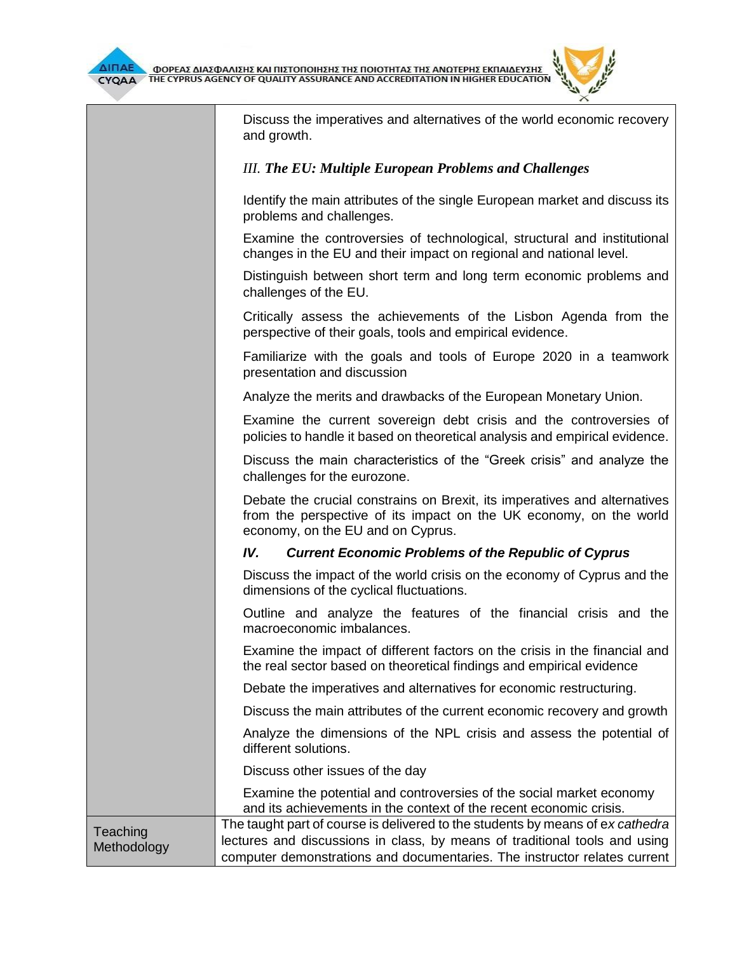

Discuss the imperatives and alternatives of the world economic recovery and growth.

## *III. The EU: Multiple European Problems and Challenges*

Identify the main attributes of the single European market and discuss its problems and challenges.

Examine the controversies of technological, structural and institutional changes in the EU and their impact on regional and national level.

Distinguish between short term and long term economic problems and challenges of the EU.

Critically assess the achievements of the Lisbon Agenda from the perspective of their goals, tools and empirical evidence.

Familiarize with the goals and tools of Europe 2020 in a teamwork presentation and discussion

Analyze the merits and drawbacks of the European Monetary Union.

Examine the current sovereign debt crisis and the controversies of policies to handle it based on theoretical analysis and empirical evidence.

Discuss the main characteristics of the "Greek crisis" and analyze the challenges for the eurozone.

Debate the crucial constrains on Brexit, its imperatives and alternatives from the perspective of its impact on the UK economy, on the world economy, on the EU and on Cyprus.

## *IV. Current Economic Problems of the Republic of Cyprus*

Discuss the impact of the world crisis on the economy of Cyprus and the dimensions of the cyclical fluctuations.

Outline and analyze the features of the financial crisis and the macroeconomic imbalances.

Examine the impact of different factors on the crisis in the financial and the real sector based on theoretical findings and empirical evidence

Debate the imperatives and alternatives for economic restructuring.

Discuss the main attributes of the current economic recovery and growth

Analyze the dimensions of the NPL crisis and assess the potential of different solutions.

Discuss other issues of the day

Examine the potential and controversies of the social market economy and its achievements in the context of the recent economic crisis.

**Teaching** Methodology The taught part of course is delivered to the students by means of e*x cathedra* lectures and discussions in class, by means of traditional tools and using computer demonstrations and documentaries. The instructor relates current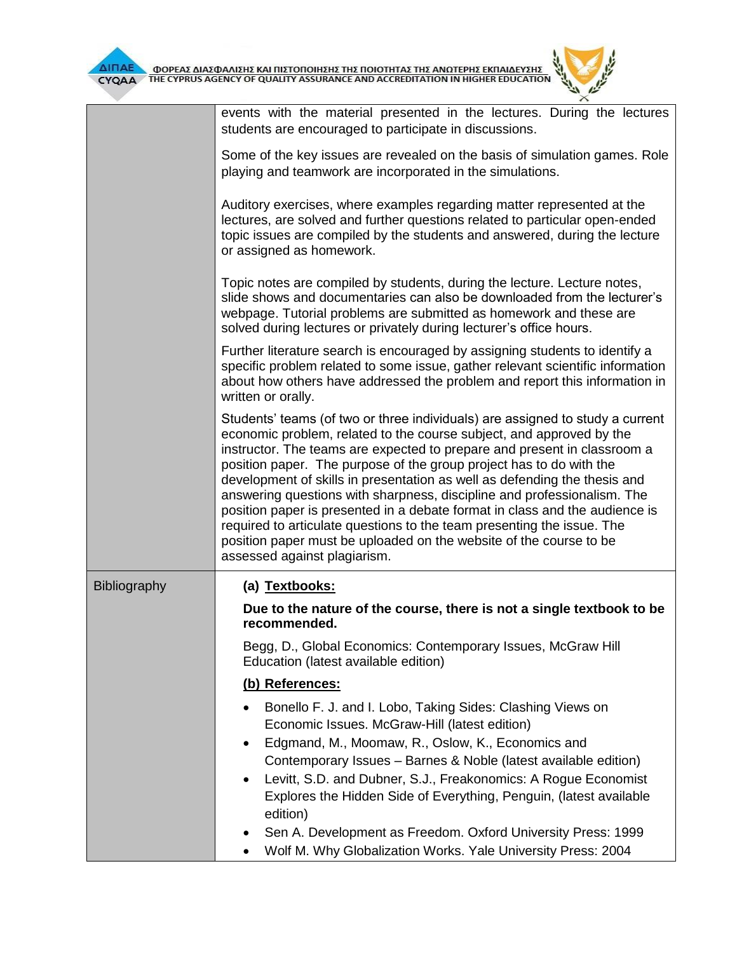医学

 $\overline{L}$  $\times$ 

|              | events with the material presented in the lectures. During the lectures<br>students are encouraged to participate in discussions.                                                                                                                                                                                                                                                                                                                                                                                                                                                                                                                                                                                               |
|--------------|---------------------------------------------------------------------------------------------------------------------------------------------------------------------------------------------------------------------------------------------------------------------------------------------------------------------------------------------------------------------------------------------------------------------------------------------------------------------------------------------------------------------------------------------------------------------------------------------------------------------------------------------------------------------------------------------------------------------------------|
|              | Some of the key issues are revealed on the basis of simulation games. Role<br>playing and teamwork are incorporated in the simulations.                                                                                                                                                                                                                                                                                                                                                                                                                                                                                                                                                                                         |
|              | Auditory exercises, where examples regarding matter represented at the<br>lectures, are solved and further questions related to particular open-ended<br>topic issues are compiled by the students and answered, during the lecture<br>or assigned as homework.                                                                                                                                                                                                                                                                                                                                                                                                                                                                 |
|              | Topic notes are compiled by students, during the lecture. Lecture notes,<br>slide shows and documentaries can also be downloaded from the lecturer's<br>webpage. Tutorial problems are submitted as homework and these are<br>solved during lectures or privately during lecturer's office hours.                                                                                                                                                                                                                                                                                                                                                                                                                               |
|              | Further literature search is encouraged by assigning students to identify a<br>specific problem related to some issue, gather relevant scientific information<br>about how others have addressed the problem and report this information in<br>written or orally.                                                                                                                                                                                                                                                                                                                                                                                                                                                               |
|              | Students' teams (of two or three individuals) are assigned to study a current<br>economic problem, related to the course subject, and approved by the<br>instructor. The teams are expected to prepare and present in classroom a<br>position paper. The purpose of the group project has to do with the<br>development of skills in presentation as well as defending the thesis and<br>answering questions with sharpness, discipline and professionalism. The<br>position paper is presented in a debate format in class and the audience is<br>required to articulate questions to the team presenting the issue. The<br>position paper must be uploaded on the website of the course to be<br>assessed against plagiarism. |
| Bibliography | (a) Textbooks:<br>Due to the nature of the course, there is not a single textbook to be                                                                                                                                                                                                                                                                                                                                                                                                                                                                                                                                                                                                                                         |
|              | recommended.                                                                                                                                                                                                                                                                                                                                                                                                                                                                                                                                                                                                                                                                                                                    |
|              | Begg, D., Global Economics: Contemporary Issues, McGraw Hill<br>Education (latest available edition)                                                                                                                                                                                                                                                                                                                                                                                                                                                                                                                                                                                                                            |
|              | (b) References:                                                                                                                                                                                                                                                                                                                                                                                                                                                                                                                                                                                                                                                                                                                 |
|              | Bonello F. J. and I. Lobo, Taking Sides: Clashing Views on<br>Economic Issues. McGraw-Hill (latest edition)<br>Edgmand, M., Moomaw, R., Oslow, K., Economics and<br>٠<br>Contemporary Issues - Barnes & Noble (latest available edition)                                                                                                                                                                                                                                                                                                                                                                                                                                                                                        |
|              | Levitt, S.D. and Dubner, S.J., Freakonomics: A Rogue Economist<br>Explores the Hidden Side of Everything, Penguin, (latest available<br>edition)                                                                                                                                                                                                                                                                                                                                                                                                                                                                                                                                                                                |
|              | Sen A. Development as Freedom. Oxford University Press: 1999<br>Wolf M. Why Globalization Works. Yale University Press: 2004                                                                                                                                                                                                                                                                                                                                                                                                                                                                                                                                                                                                    |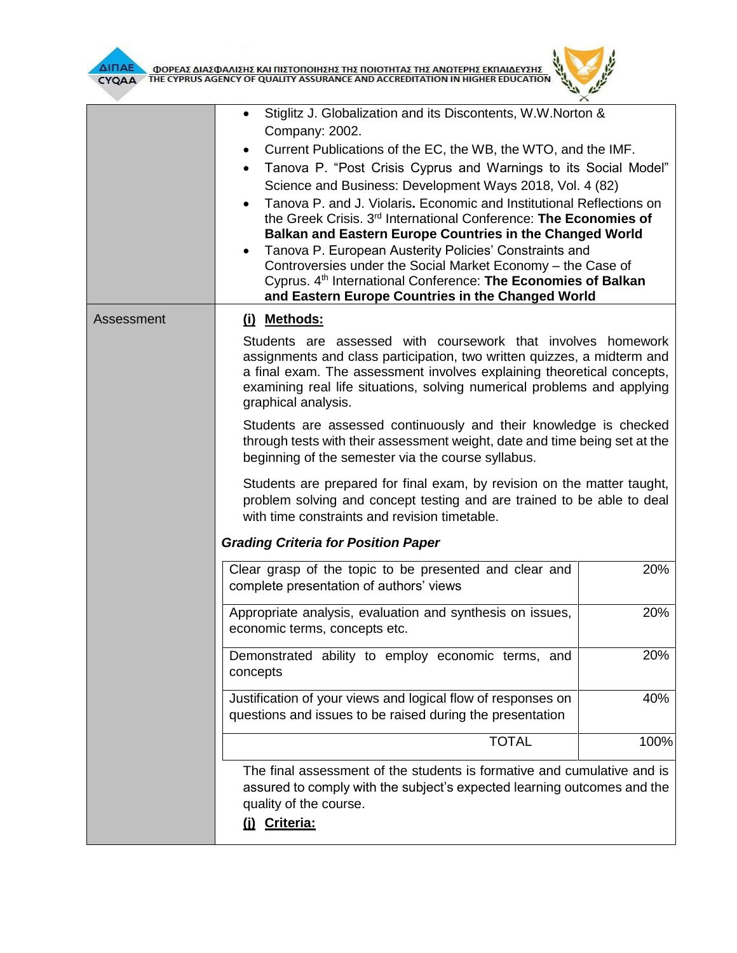

| ΔΙΠΑΕ<br>CYQAA | ΦΟΡΕΑΣ ΔΙΑΣΦΑΛΙΣΗΣ ΚΑΙ ΠΙΣΤΟΠΟΙΗΣΗΣ ΤΗΣ ΠΟΙΟΤΗΤΑΣ ΤΗΣ ΑΝΩΤΕΡΗΣ ΕΚΠΑΙΔΕΥΣΗΣ<br>THE CYPRUS AGENCY OF QUALITY ASSURANCE AND ACCREDITATION IN HIGHER EDUCATION                                                                                                                                                                                                                                                                                                                                                                                                                                                                                                                                                                                       |      |
|----------------|--------------------------------------------------------------------------------------------------------------------------------------------------------------------------------------------------------------------------------------------------------------------------------------------------------------------------------------------------------------------------------------------------------------------------------------------------------------------------------------------------------------------------------------------------------------------------------------------------------------------------------------------------------------------------------------------------------------------------------------------------|------|
|                | Stiglitz J. Globalization and its Discontents, W.W.Norton &<br>Company: 2002.<br>Current Publications of the EC, the WB, the WTO, and the IMF.<br>Tanova P. "Post Crisis Cyprus and Warnings to its Social Model"<br>Science and Business: Development Ways 2018, Vol. 4 (82)<br>Tanova P. and J. Violaris. Economic and Institutional Reflections on<br>the Greek Crisis. 3rd International Conference: The Economies of<br>Balkan and Eastern Europe Countries in the Changed World<br>Tanova P. European Austerity Policies' Constraints and<br>Controversies under the Social Market Economy - the Case of<br>Cyprus. 4 <sup>th</sup> International Conference: The Economies of Balkan<br>and Eastern Europe Countries in the Changed World |      |
| Assessment     | (i) Methods:<br>Students are assessed with coursework that involves homework<br>assignments and class participation, two written quizzes, a midterm and<br>a final exam. The assessment involves explaining theoretical concepts,<br>examining real life situations, solving numerical problems and applying<br>graphical analysis.                                                                                                                                                                                                                                                                                                                                                                                                              |      |
|                | Students are assessed continuously and their knowledge is checked<br>through tests with their assessment weight, date and time being set at the<br>beginning of the semester via the course syllabus.<br>Students are prepared for final exam, by revision on the matter taught,<br>problem solving and concept testing and are trained to be able to deal<br>with time constraints and revision timetable.                                                                                                                                                                                                                                                                                                                                      |      |
|                | <b>Grading Criteria for Position Paper</b>                                                                                                                                                                                                                                                                                                                                                                                                                                                                                                                                                                                                                                                                                                       |      |
|                | Clear grasp of the topic to be presented and clear and<br>complete presentation of authors' views                                                                                                                                                                                                                                                                                                                                                                                                                                                                                                                                                                                                                                                | 20%  |
|                | Appropriate analysis, evaluation and synthesis on issues,<br>economic terms, concepts etc.                                                                                                                                                                                                                                                                                                                                                                                                                                                                                                                                                                                                                                                       | 20%  |
|                | Demonstrated ability to employ economic terms, and<br>concepts                                                                                                                                                                                                                                                                                                                                                                                                                                                                                                                                                                                                                                                                                   | 20%  |
|                | Justification of your views and logical flow of responses on<br>questions and issues to be raised during the presentation                                                                                                                                                                                                                                                                                                                                                                                                                                                                                                                                                                                                                        | 40%  |
|                | <b>TOTAL</b>                                                                                                                                                                                                                                                                                                                                                                                                                                                                                                                                                                                                                                                                                                                                     | 100% |
|                | The final assessment of the students is formative and cumulative and is<br>assured to comply with the subject's expected learning outcomes and the<br>quality of the course.<br>(j) Criteria:                                                                                                                                                                                                                                                                                                                                                                                                                                                                                                                                                    |      |